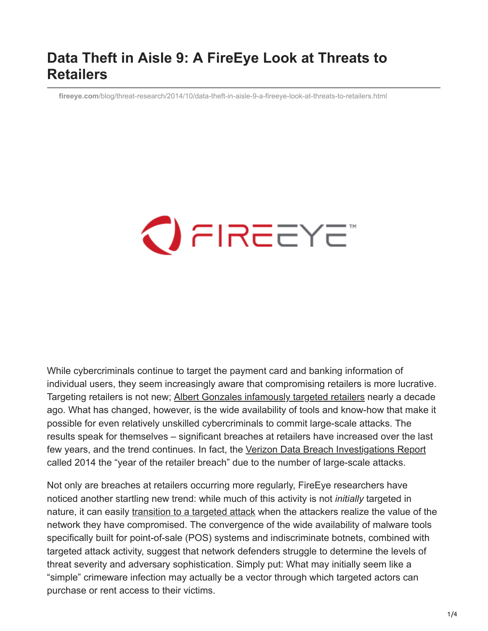## **Data Theft in Aisle 9: A FireEye Look at Threats to Retailers**

**fireeye.com**[/blog/threat-research/2014/10/data-theft-in-aisle-9-a-fireeye-look-at-threats-to-retailers.html](https://www.fireeye.com/blog/threat-research/2014/10/data-theft-in-aisle-9-a-fireeye-look-at-threats-to-retailers.html)

# $\bigcirc$  FIREEYE

While cybercriminals continue to target the payment card and banking information of individual users, they seem increasingly aware that compromising retailers is more lucrative. Targeting retailers is not new; [Albert Gonzales infamously targeted retailers](http://www.nytimes.com/2010/11/14/magazine/14Hacker-t.html?_r=0) nearly a decade ago. What has changed, however, is the wide availability of tools and know-how that make it possible for even relatively unskilled cybercriminals to commit large-scale attacks. The results speak for themselves – significant breaches at retailers have increased over the last few years, and the trend continues. In fact, the [Verizon Data Breach Investigations Report](http://www.verizonenterprise.com/DBIR/2014/) called 2014 the "year of the retailer breach" due to the number of large-scale attacks.

Not only are breaches at retailers occurring more regularly, FireEye researchers have noticed another startling new trend: while much of this activity is not *initially* targeted in nature, it can easily [transition to a targeted attack](https://dl.mandiant.com/EE/library/WP_M-Trends2014_140409.pdf) when the attackers realize the value of the network they have compromised. The convergence of the wide availability of malware tools specifically built for point-of-sale (POS) systems and indiscriminate botnets, combined with targeted attack activity, suggest that network defenders struggle to determine the levels of threat severity and adversary sophistication. Simply put: What may initially seem like a "simple" crimeware infection may actually be a vector through which targeted actors can purchase or rent access to their victims.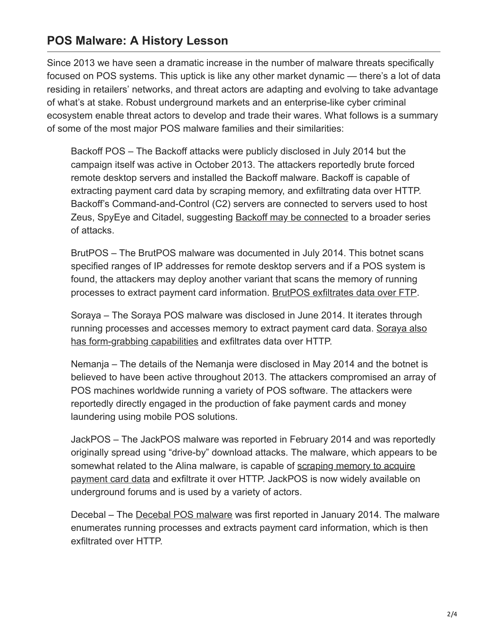#### **POS Malware: A History Lesson**

Since 2013 we have seen a dramatic increase in the number of malware threats specifically focused on POS systems. This uptick is like any other market dynamic — there's a lot of data residing in retailers' networks, and threat actors are adapting and evolving to take advantage of what's at stake. Robust underground markets and an enterprise-like cyber criminal ecosystem enable threat actors to develop and trade their wares. What follows is a summary of some of the most major POS malware families and their similarities:

Backoff POS – The Backoff attacks were publicly disclosed in July 2014 but the campaign itself was active in October 2013. The attackers reportedly brute forced remote desktop servers and installed the Backoff malware. Backoff is capable of extracting payment card data by scraping memory, and exfiltrating data over HTTP. Backoff's Command-and-Control (C2) servers are connected to servers used to host Zeus, SpyEye and Citadel, suggesting **[Backoff may be connected](https://www.us-cert.gov/ncas/alerts/TA14-212A) to a broader series** of attacks.

BrutPOS – The BrutPOS malware was documented in July 2014. This botnet scans specified ranges of IP addresses for remote desktop servers and if a POS system is found, the attackers may deploy another variant that scans the memory of running processes to extract payment card information. [BrutPOS exfiltrates data over FTP.](https://www.fireeye.com/blog/threat-research/2014/07/brutpos-rdp-bruteforcing-botnet-targeting-pos-systems.html)

Soraya – The Soraya POS malware was disclosed in June 2014. It iterates through [running processes and accesses memory to extract payment card data. Soraya also](http://www.arbornetworks.com/asert/2014/06/the-best-of-both-worlds-soraya/) has form-grabbing capabilities and exfiltrates data over HTTP.

Nemanja – The details of the Nemanja were disclosed in May 2014 and the botnet is believed to have been active throughout 2013. The attackers compromised an array of POS machines worldwide running a variety of POS software. The attackers were reportedly directly engaged in the production of fake payment cards and money laundering using mobile POS solutions.

JackPOS – The JackPOS malware was reported in February 2014 and was reportedly originally spread using "drive-by" download attacks. The malware, which appears to be [somewhat related to the Alina malware, is capable of scraping memory to acquire](http://blog.spiderlabs.com/2014/02/jackpos-the-house-always-wins.html) payment card data and exfiltrate it over HTTP. JackPOS is now widely available on underground forums and is used by a variety of actors.

Decebal – The [Decebal POS malware](http://about-threats.trendmicro.com/us/malware/TSPY_DECBAL.A) was first reported in January 2014. The malware enumerates running processes and extracts payment card information, which is then exfiltrated over HTTP.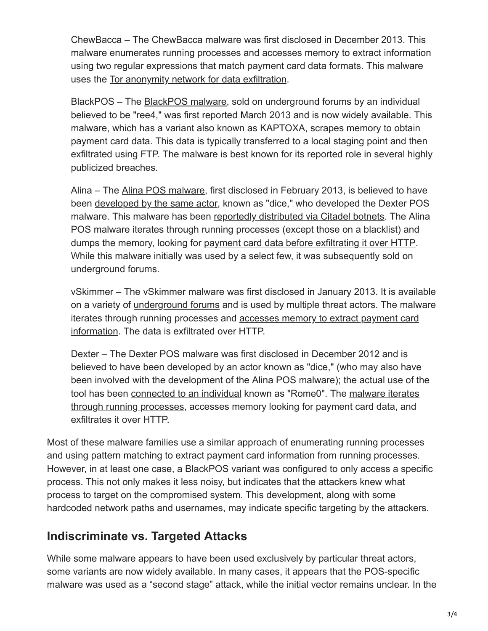ChewBacca – The ChewBacca malware was first disclosed in December 2013. This malware enumerates running processes and accesses memory to extract information using two regular expressions that match payment card data formats. This malware uses the [Tor anonymity network for data exfiltration.](http://securelist.com/blog/incidents/58192/chewbacca-a-new-episode-of-tor-based-malware/)

BlackPOS – The [BlackPOS malware](http://www.pcworld.idg.com.au/article/457588/researchers_find_new_point-of-sale_malware_called_blackpos/), sold on underground forums by an individual believed to be "ree4," was first reported March 2013 and is now widely available. This malware, which has a variant also known as KAPTOXA, scrapes memory to obtain payment card data. This data is typically transferred to a local staging point and then exfiltrated using FTP. The malware is best known for its reported role in several highly publicized breaches.

Alina – The [Alina POS malware](http://www.kernelmode.info/forum/viewtopic.php?f=16&t=1756&start=40#p18006), first disclosed in February 2013, is believed to have been [developed by the same actor](http://www.xylibox.com/2013/06/whos-behind-alina.html), known as "dice," who developed the Dexter POS malware. This malware has been [reportedly distributed via Citadel botnets](http://www.xylibox.com/2013/10/inside-malware-campaign-alina-dexter.html). The Alina POS malware iterates through running processes (except those on a blacklist) and dumps the memory, looking for [payment card data before exfiltrating it over HTTP.](http://blog.spiderlabs.com/2013/05/alina-shedding-some-light-on-this-malware-family.html) While this malware initially was used by a select few, it was subsequently sold on underground forums.

vSkimmer – The vSkimmer malware was first disclosed in January 2013. It is available on a variety of [underground forums](http://www.xylibox.com/2013/01/vskimmer.html) and is used by multiple threat actors. The malware [iterates through running processes and accesses memory to extract payment card](http://blogs.mcafee.com/mcafee-labs/vskimmer-botnet-targets-credit-card-payment-terminals) information. The data is exfiltrated over HTTP.

Dexter – The Dexter POS malware was first disclosed in December 2012 and is believed to have been developed by an actor known as "dice," (who may also have been involved with the development of the Alina POS malware); the actual use of the [tool has been connected to an individual known as "Rome0". The malware iterates](http://volatility-labs.blogspot.ca/2012/12/unpacking-dexter-pos-memory-dump.html) through running processes, accesses memory looking for payment card data, and exfiltrates it over HTTP.

Most of these malware families use a similar approach of enumerating running processes and using pattern matching to extract payment card information from running processes. However, in at least one case, a BlackPOS variant was configured to only access a specific process. This not only makes it less noisy, but indicates that the attackers knew what process to target on the compromised system. This development, along with some hardcoded network paths and usernames, may indicate specific targeting by the attackers.

#### **Indiscriminate vs. Targeted Attacks**

While some malware appears to have been used exclusively by particular threat actors, some variants are now widely available. In many cases, it appears that the POS-specific malware was used as a "second stage" attack, while the initial vector remains unclear. In the